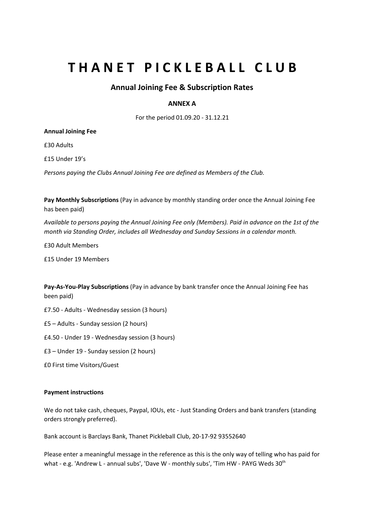# **THANET PICKLEBALL CLUB**

## **Annual Joining Fee & Subscription Rates**

### **ANNEX A**

For the period 01.09.20 - 31.12.21

#### **Annual Joining Fee**

£30 Adults

£15 Under 19's

*Persons paying the Clubs Annual Joining Fee are defined as Members of the Club.*

**Pay Monthly Subscriptions** (Pay in advance by monthly standing order once the Annual Joining Fee has been paid)

Available to persons paying the Annual Joining Fee only (Members). Paid in advance on the 1st of the *month via Standing Order, includes all Wednesday and Sunday Sessions in a calendar month.*

£30 Adult Members

£15 Under 19 Members

**Pay-As-You-Play Subscriptions** (Pay in advance by bank transfer once the Annual Joining Fee has been paid)

£7.50 - Adults - Wednesday session (3 hours)

£5 – Adults - Sunday session (2 hours)

£4.50 - Under 19 - Wednesday session (3 hours)

£3 – Under 19 - Sunday session (2 hours)

£0 First time Visitors/Guest

#### **Payment instructions**

We do not take cash, cheques, Paypal, IOUs, etc - Just Standing Orders and bank transfers (standing orders strongly preferred).

Bank account is Barclays Bank, Thanet Pickleball Club, 20-17-92 93552640

Please enter a meaningful message in the reference as this is the only way of telling who has paid for what - e.g. 'Andrew L - annual subs', 'Dave W - monthly subs', 'Tim HW - PAYG Weds  $30^{\text{th}}$